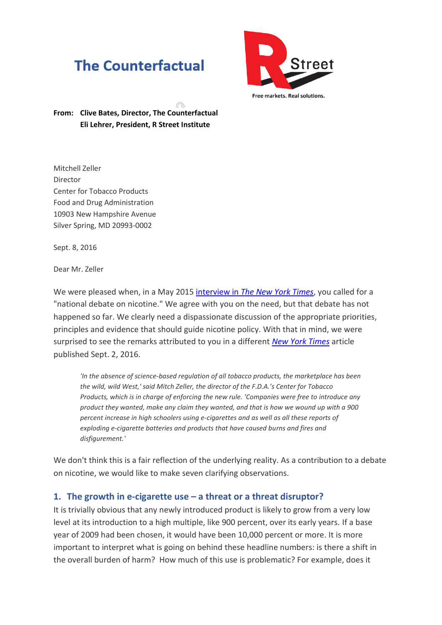# **The Counterfactual**



Free markets. Real solutions.

**From: Clive Bates, Director, The Counterfactual Eli Lehrer, President, R Street Institute**

Mitchell Zeller Director Center for Tobacco Products Food and Drug Administration 10903 New Hampshire Avenue Silver Spring, MD 20993-0002

Sept. 8, 2016

Dear Mr. Zeller

We were pleased when, in a May 2015 interview in *[The New York Times](http://www.nytimes.com/2015/05/26/opinion/joe-nocera-smoking-vaping-and-nicotine.html)*, you called for a "national debate on nicotine." We agree with you on the need, but that debate has not happened so far. We clearly need a dispassionate discussion of the appropriate priorities, principles and evidence that should guide nicotine policy. With that in mind, we were surprised to see the remarks attributed to you in a different *[New York Times](http://www.nytimes.com/2016/09/03/us/politics/e-cigarettes-vaping-cigars-fda-altria.html?_r=1)* article published Sept. 2, 2016.

*'In the absence of science-based regulation of all tobacco products, the marketplace has been the wild, wild West,' said Mitch Zeller, the director of the F.D.A.'s Center for Tobacco Products, which is in charge of enforcing the new rule. 'Companies were free to introduce any product they wanted, make any claim they wanted, and that is how we wound up with a 900 percent increase in high schoolers using e-cigarettes and as well as all these reports of exploding e-cigarette batteries and products that have caused burns and fires and disfigurement.'*

We don't think this is a fair reflection of the underlying reality. As a contribution to a debate on nicotine, we would like to make seven clarifying observations.

#### **1. The growth in e-cigarette use – a threat or a threat disruptor?**

It is trivially obvious that any newly introduced product is likely to grow from a very low level at its introduction to a high multiple, like 900 percent, over its early years. If a base year of 2009 had been chosen, it would have been 10,000 percent or more. It is more important to interpret what is going on behind these headline numbers: is there a shift in the overall burden of harm? How much of this use is problematic? For example, does it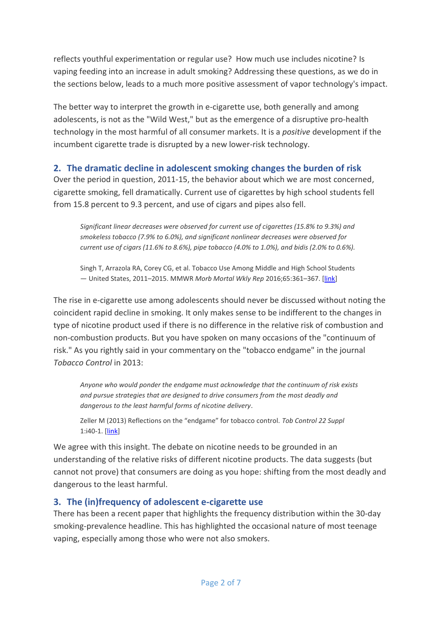reflects youthful experimentation or regular use? How much use includes nicotine? Is vaping feeding into an increase in adult smoking? Addressing these questions, as we do in the sections below, leads to a much more positive assessment of vapor technology's impact.

The better way to interpret the growth in e-cigarette use, both generally and among adolescents, is not as the "Wild West," but as the emergence of a disruptive pro-health technology in the most harmful of all consumer markets. It is a *positive* development if the incumbent cigarette trade is disrupted by a new lower-risk technology.

## **2. The dramatic decline in adolescent smoking changes the burden of risk**

Over the period in question, 2011-15, the behavior about which we are most concerned, cigarette smoking, fell dramatically. Current use of cigarettes by high school students fell from 15.8 percent to 9.3 percent, and use of cigars and pipes also fell.

*Significant linear decreases were observed for current use of cigarettes (15.8% to 9.3%) and smokeless tobacco (7.9% to 6.0%), and significant nonlinear decreases were observed for current use of cigars (11.6% to 8.6%), pipe tobacco (4.0% to 1.0%), and bidis (2.0% to 0.6%).*

Singh T, Arrazola RA, Corey CG, et al. Tobacco Use Among Middle and High School Students — United States, 2011–2015. MMWR *Morb Mortal Wkly Rep* 2016;65:361–367. [\[link\]](http://www.cdc.gov/mmwr/volumes/65/wr/mm6514a1.htm?s_cid=mm6514a1_w)

The rise in e-cigarette use among adolescents should never be discussed without noting the coincident rapid decline in smoking. It only makes sense to be indifferent to the changes in type of nicotine product used if there is no difference in the relative risk of combustion and non-combustion products. But you have spoken on many occasions of the "continuum of risk." As you rightly said in your commentary on the "tobacco endgame" in the journal *Tobacco Control* in 2013:

*Anyone who would ponder the endgame must acknowledge that the continuum of risk exists and pursue strategies that are designed to drive consumers from the most deadly and dangerous to the least harmful forms of nicotine delivery*.

Zeller M (2013) Reflections on the "endgame" for tobacco control. *Tob Control 22 Suppl* 1:i40-1. [\[link\]](http://tobaccocontrol.bmj.com/content/22/suppl_1/i40.full)

We agree with this insight. The debate on nicotine needs to be grounded in an understanding of the relative risks of different nicotine products. The data suggests (but cannot not prove) that consumers are doing as you hope: shifting from the most deadly and dangerous to the least harmful.

### **3. The (in)frequency of adolescent e-cigarette use**

There has been a recent paper that highlights the frequency distribution within the 30-day smoking-prevalence headline. This has highlighted the occasional nature of most teenage vaping, especially among those who were not also smokers.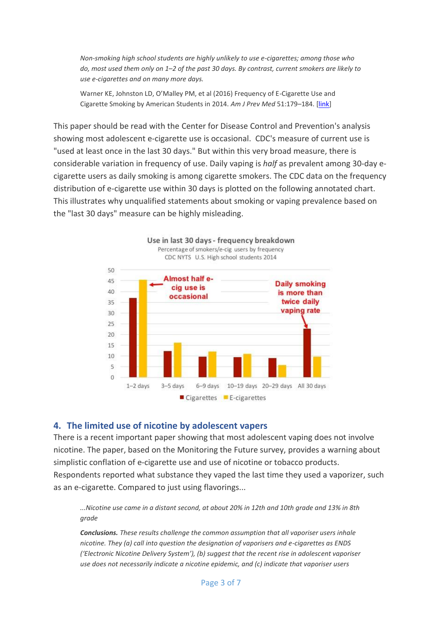*Non-smoking high school students are highly unlikely to use e-cigarettes; among those who do, most used them only on 1–2 of the past 30 days. By contrast, current smokers are likely to use e-cigarettes and on many more days.*

Warner KE, Johnston LD, O'Malley PM, et al (2016) Frequency of E-Cigarette Use and Cigarette Smoking by American Students in 2014. *Am J Prev Med* 51:179–184. [\[link\]](http://www.ajpmonline.org/article/S0749-3797(15)00782-5/abstract)

This paper should be read with the Center for Disease Control and Prevention's analysis showing most adolescent e-cigarette use is occasional. CDC's measure of current use is "used at least once in the last 30 days." But within this very broad measure, there is considerable variation in frequency of use. Daily vaping is *half* as prevalent among 30-day ecigarette users as daily smoking is among cigarette smokers. The CDC data on the frequency distribution of e-cigarette use within 30 days is plotted on the following annotated chart. This illustrates why unqualified statements about smoking or vaping prevalence based on the "last 30 days" measure can be highly misleading.



#### **4. The limited use of nicotine by adolescent vapers**

There is a recent important paper showing that most adolescent vaping does not involve nicotine. The paper, based on the Monitoring the Future survey, provides a warning about simplistic conflation of e-cigarette use and use of nicotine or tobacco products. Respondents reported what substance they vaped the last time they used a vaporizer, such as an e-cigarette. Compared to just using flavorings...

*...Nicotine use came in a distant second, at about 20% in 12th and 10th grade and 13% in 8th grade*

*Conclusions. These results challenge the common assumption that all vaporiser users inhale nicotine. They (a) call into question the designation of vaporisers and e-cigarettes as ENDS ('Electronic Nicotine Delivery System'), (b) suggest that the recent rise in adolescent vaporiser use does not necessarily indicate a nicotine epidemic, and (c) indicate that vaporiser users*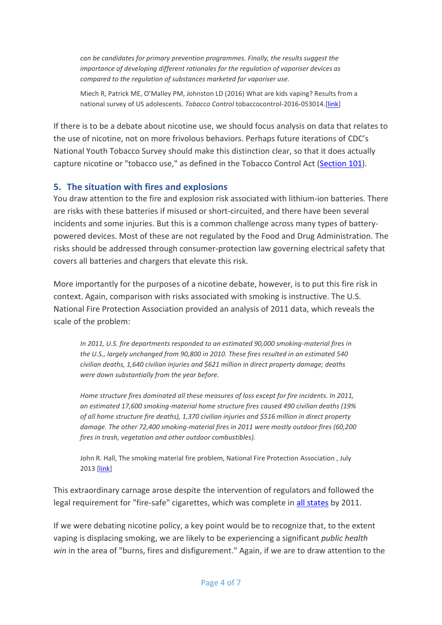*can be candidates for primary prevention programmes. Finally, the results suggest the importance of developing different rationales for the regulation of vaporiser devices as compared to the regulation of substances marketed for vaporiser use.*

Miech R, Patrick ME, O'Malley PM, Johnston LD (2016) What are kids vaping? Results from a national survey of US adolescents. *Tobacco Control* tobaccocontrol-2016-053014.[\[link\]](http://tobaccocontrol.bmj.com/content/early/2016/07/21/tobaccocontrol-2016-053014)

If there is to be a debate about nicotine use, we should focus analysis on data that relates to the use of nicotine, not on more frivolous behaviors. Perhaps future iterations of CDC's National Youth Tobacco Survey should make this distinction clear, so that it does actually capture nicotine or "tobacco use," as defined in the Tobacco Control Act [\(Section 101\)](http://www.fda.gov/TobaccoProducts/Labeling/RulesRegulationsGuidance/ucm261842.htm).

#### **5. The situation with fires and explosions**

You draw attention to the fire and explosion risk associated with lithium-ion batteries. There are risks with these batteries if misused or short-circuited, and there have been several incidents and some injuries. But this is a common challenge across many types of batterypowered devices. Most of these are not regulated by the Food and Drug Administration. The risks should be addressed through consumer-protection law governing electrical safety that covers all batteries and chargers that elevate this risk.

More importantly for the purposes of a nicotine debate, however, is to put this fire risk in context. Again, comparison with risks associated with smoking is instructive. The U.S. National Fire Protection Association provided an analysis of 2011 data, which reveals the scale of the problem:

*In 2011, U.S. fire departments responded to an estimated 90,000 smoking-material fires in the U.S., largely unchanged from 90,800 in 2010. These fires resulted in an estimated 540 civilian deaths, 1,640 civilian injuries and \$621 million in direct property damage; deaths were down substantially from the year before.*

*Home structure fires dominated all these measures of loss except for fire incidents. In 2011, an estimated 17,600 smoking-material home structure fires caused 490 civilian deaths (19% of all home structure fire deaths), 1,370 civilian injuries and \$516 million in direct property damage. The other 72,400 smoking-material fires in 2011 were mostly outdoor fires (60,200 fires in trash, vegetation and other outdoor combustibles).*

John R. Hall, The smoking material fire problem, National Fire Protection Association , July 2013 [\[link\]](http://www.nfpa.org/news-and-research/fire-statistics-and-reports/fire-statistics/fire-causes/smoking-materials)

This extraordinary carnage arose despite the intervention of regulators and followed the legal requirement for "fire-safe" cigarettes, which was complete in [all states](http://www.nfpa.org/public-education/by-topic/top-causes-of-fire/smoking/coalition-for-fire-safe-cigarettes/states-that-have-passed-fire-safe-cigarette-laws) by 2011.

If we were debating nicotine policy, a key point would be to recognize that, to the extent vaping is displacing smoking, we are likely to be experiencing a significant *public health win* in the area of "burns, fires and disfigurement." Again, if we are to draw attention to the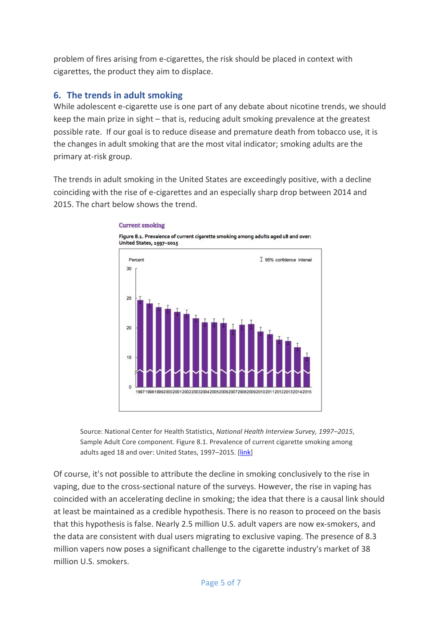problem of fires arising from e-cigarettes, the risk should be placed in context with cigarettes, the product they aim to displace.

### **6. The trends in adult smoking**

While adolescent e-cigarette use is one part of any debate about nicotine trends, we should keep the main prize in sight – that is, reducing adult smoking prevalence at the greatest possible rate. If our goal is to reduce disease and premature death from tobacco use, it is the changes in adult smoking that are the most vital indicator; smoking adults are the primary at-risk group.

The trends in adult smoking in the United States are exceedingly positive, with a decline coinciding with the rise of e-cigarettes and an especially sharp drop between 2014 and 2015. The chart below shows the trend.

# T 95% confidence intensi Percent 30 25 20 15  $\theta$ 998199920002001200220032004200520062007200820092010201120122013201420

#### **Current smoking**

Figure 8.1. Prevalence of current cigarette smoking among adults aged 18 and over: United States, 1997-2015

Source: National Center for Health Statistics, *National Health Interview Survey, 1997–2015*, Sample Adult Core component. Figure 8.1. Prevalence of current cigarette smoking among adults aged 18 and over: United States, 1997–2015. [\[link\]](https://www.cdc.gov/nchs/nhis/releases/released201605.htm#8)

Of course, it's not possible to attribute the decline in smoking conclusively to the rise in vaping, due to the cross-sectional nature of the surveys. However, the rise in vaping has coincided with an accelerating decline in smoking; the idea that there is a causal link should at least be maintained as a credible hypothesis. There is no reason to proceed on the basis that this hypothesis is false. Nearly 2.5 million U.S. adult vapers are now ex-smokers, and the data are consistent with dual users migrating to exclusive vaping. The presence of 8.3 million vapers now poses a significant challenge to the cigarette industry's market of 38 million U.S. smokers.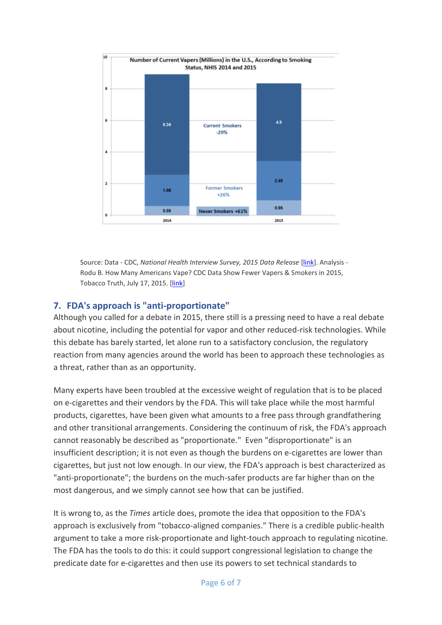

Source: Data - CDC, *National Health Interview Survey, 2015 Data Release* [\[link\]](https://www.cdc.gov/nchs/nhis/nhis_2015_data_release.htm). Analysis - Rodu B. How Many Americans Vape? CDC Data Show Fewer Vapers & Smokers in 2015, Tobacco Truth, July 17, 2015. [\[link\]](http://rodutobaccotruth.blogspot.com/2016/07/how-many-americans-vape-cdc-data-show_7.html)

#### **7. FDA's approach is "anti-proportionate"**

Although you called for a debate in 2015, there still is a pressing need to have a real debate about nicotine, including the potential for vapor and other reduced-risk technologies. While this debate has barely started, let alone run to a satisfactory conclusion, the regulatory reaction from many agencies around the world has been to approach these technologies as a threat, rather than as an opportunity.

Many experts have been troubled at the excessive weight of regulation that is to be placed on e-cigarettes and their vendors by the FDA. This will take place while the most harmful products, cigarettes, have been given what amounts to a free pass through grandfathering and other transitional arrangements. Considering the continuum of risk, the FDA's approach cannot reasonably be described as "proportionate." Even "disproportionate" is an insufficient description; it is not even as though the burdens on e-cigarettes are lower than cigarettes, but just not low enough. In our view, the FDA's approach is best characterized as "anti-proportionate"; the burdens on the much-safer products are far higher than on the most dangerous, and we simply cannot see how that can be justified.

It is wrong to, as the *Times* article does, promote the idea that opposition to the FDA's approach is exclusively from "tobacco-aligned companies." There is a credible public-health argument to take a more risk-proportionate and light-touch approach to regulating nicotine. The FDA has the tools to do this: it could support congressional legislation to change the predicate date for e-cigarettes and then use its powers to set technical standards to